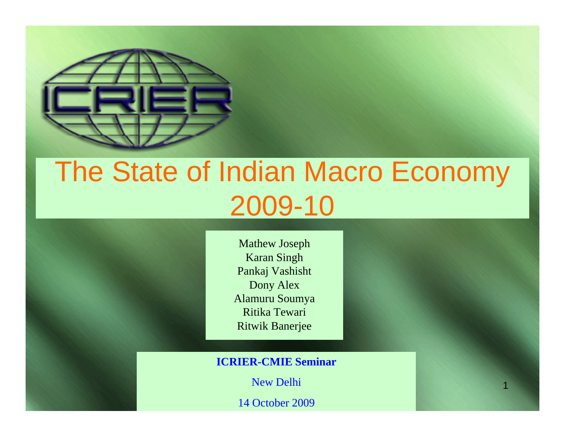

#### The State of Indian Macro Economy 2009-10

Mathew Joseph Karan Singh Pankaj Vashisht Dony Alex Alamuru Soumya Ritika TewariRitwik Banerjee

**ICRIE R-CMIE Seminar**

New Delhi

1

14 October 2009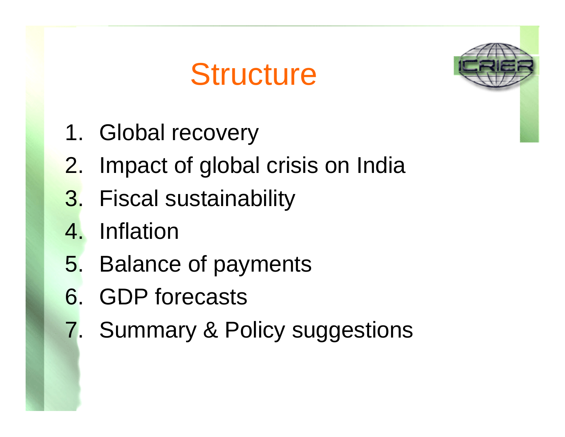#### **Structure**



- 1. Global recovery
- 2. Impact of global crisis on India
- 3. Fiscal sustainability
- 4. Inflation
- 5. Balance of payments
- 6. GDP forecasts
- 7. Summary & Policy suggestions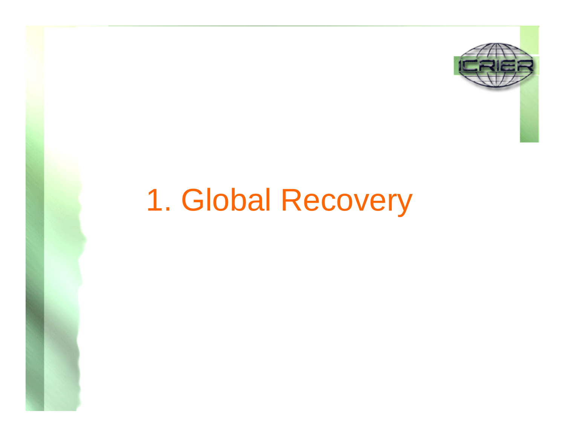

#### 1. Global Recovery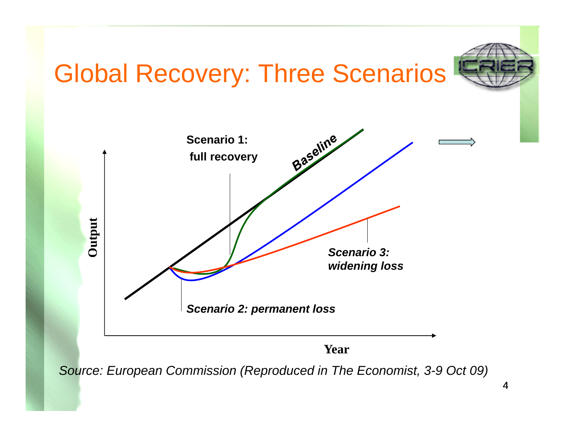#### Global Recovery: Three Scenarios



*Source: European Commission (Reproduced in The Economist, 3-9 Oct 09)*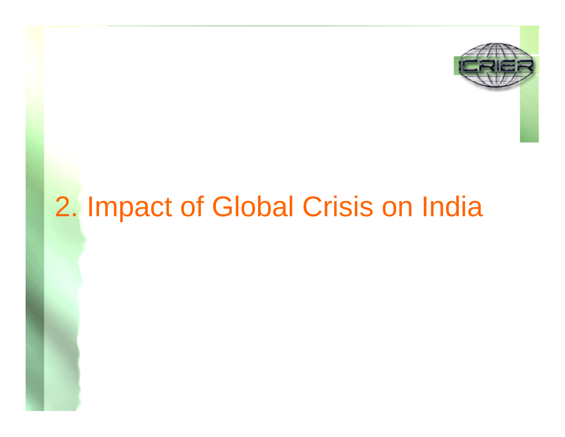

#### 2. Impact of Global Crisis on India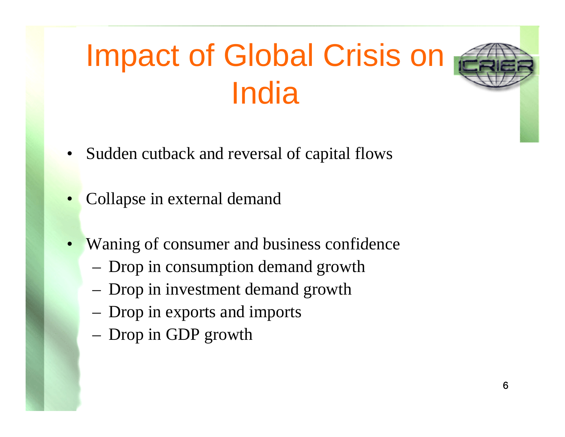# Impact of Global Crisis on India

- •Sudden cutback and reversal of capital flows
- •Collapse in external deman d
- •Waning of consumer and business confidence
	- Drop in consumption demand growth
	- Drop in investment demand growth
	- Drop in exports and imports
	- Drop in GDP growth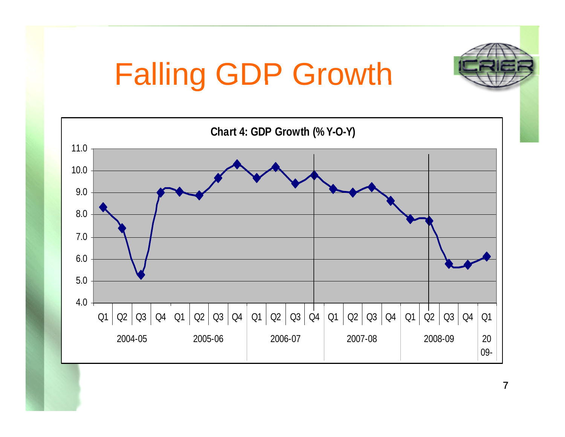# Falling GDP Growth

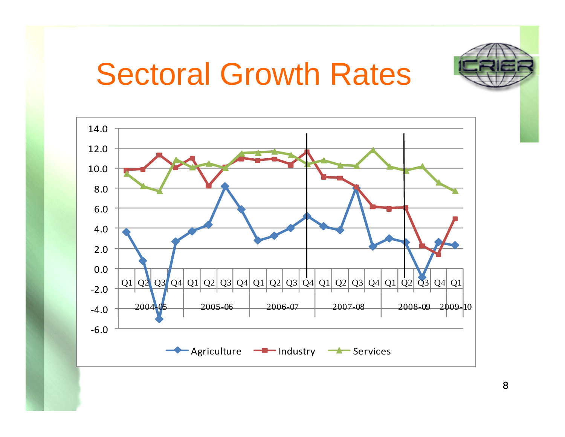

#### Sectoral Growth Rates

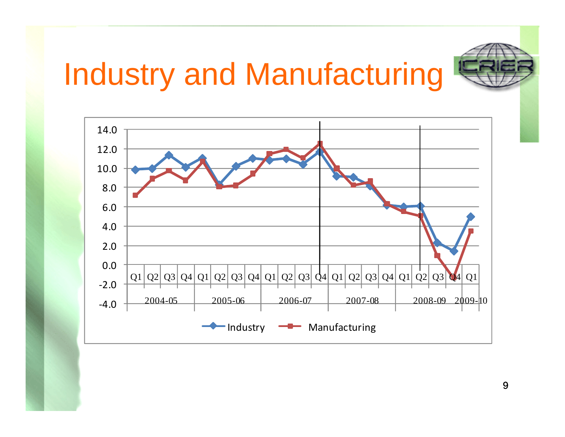# Industry and Manufacturing



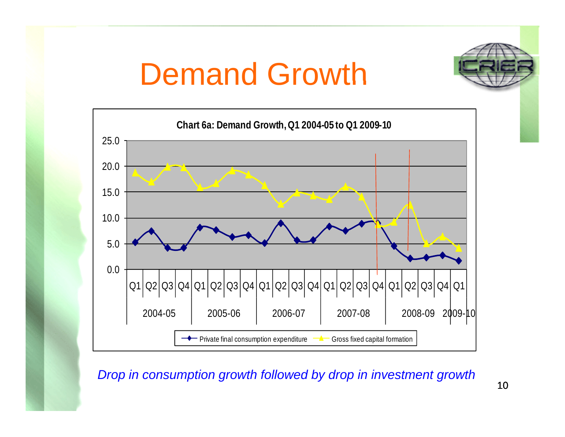





*Drop in consumption growth followed by drop in investment growth*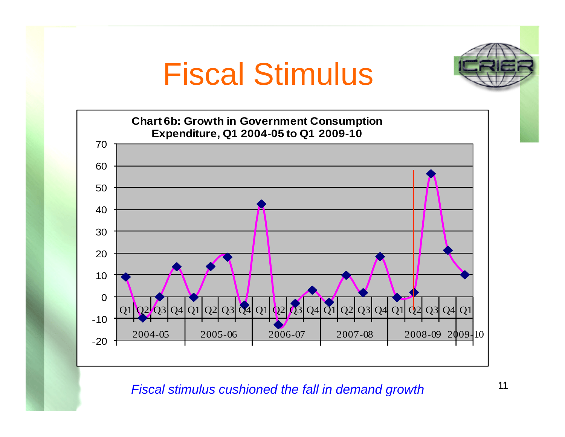#### Fiscal Stimulus





*Fiscal stimulus cushioned the fall in demand growth*

11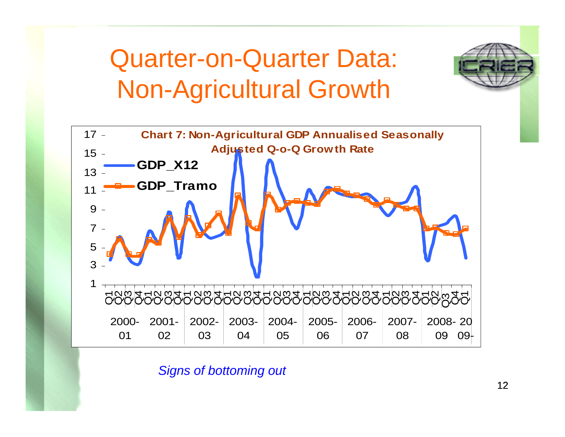#### Quarter-on-Quarter Data: Non-Agricultural Growth



*Signs of bottoming out*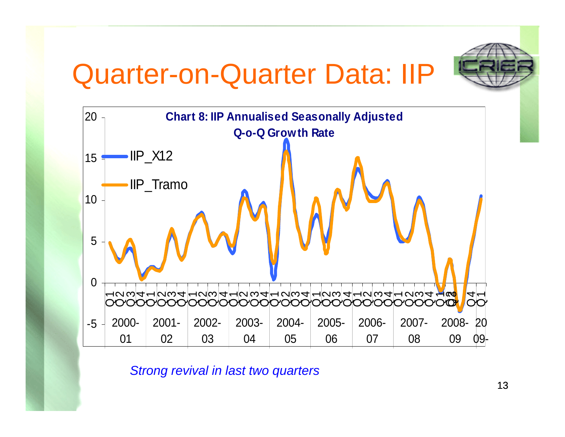#### Quarter-on-Quarter Data: IIP





*Strong revival in last two quarters*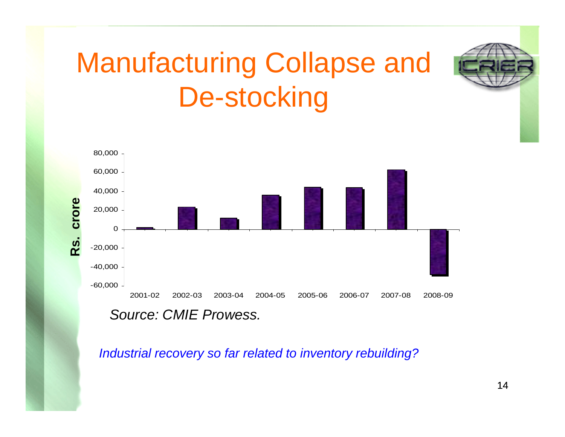#### Manufacturing Collapse and De-stocking



*Industrial recovery so far related to inventory rebuilding?*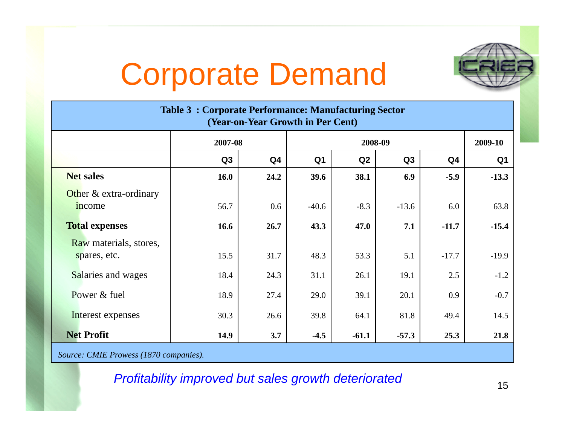# Corporate Demand



| <b>Table 3: Corporate Performance: Manufacturing Sector</b><br>(Year-on-Year Growth in Per Cent) |         |                |                |         |         |                |                |
|--------------------------------------------------------------------------------------------------|---------|----------------|----------------|---------|---------|----------------|----------------|
|                                                                                                  | 2007-08 |                | 2008-09        |         |         |                | 2009-10        |
|                                                                                                  | Q3      | Q <sub>4</sub> | Q <sub>1</sub> | Q2      | Q3      | Q <sub>4</sub> | Q <sub>1</sub> |
| <b>Net sales</b>                                                                                 | 16.0    | 24.2           | 39.6           | 38.1    | 6.9     | $-5.9$         | $-13.3$        |
| Other & extra-ordinary<br>income                                                                 | 56.7    | 0.6            | $-40.6$        | $-8.3$  | $-13.6$ | 6.0            | 63.8           |
| <b>Total expenses</b>                                                                            | 16.6    | 26.7           | 43.3           | 47.0    | 7.1     | $-11.7$        | $-15.4$        |
| Raw materials, stores,<br>spares, etc.                                                           | 15.5    | 31.7           | 48.3           | 53.3    | 5.1     | $-17.7$        | $-19.9$        |
| Salaries and wages                                                                               | 18.4    | 24.3           | 31.1           | 26.1    | 19.1    | 2.5            | $-1.2$         |
| Power & fuel                                                                                     | 18.9    | 27.4           | 29.0           | 39.1    | 20.1    | 0.9            | $-0.7$         |
| Interest expenses                                                                                | 30.3    | 26.6           | 39.8           | 64.1    | 81.8    | 49.4           | 14.5           |
| <b>Net Profit</b>                                                                                | 14.9    | 3.7            | $-4.5$         | $-61.1$ | $-57.3$ | 25.3           | 21.8           |
| Source: CMIE Prowess (1870 companies).                                                           |         |                |                |         |         |                |                |

*Profitability improved but sales growth deteriorated*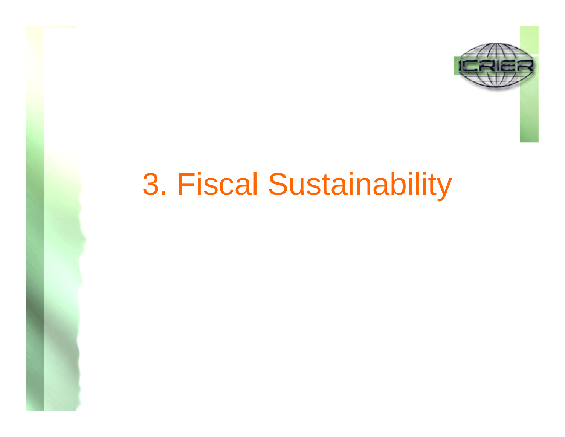

#### 3. Fiscal Sustainability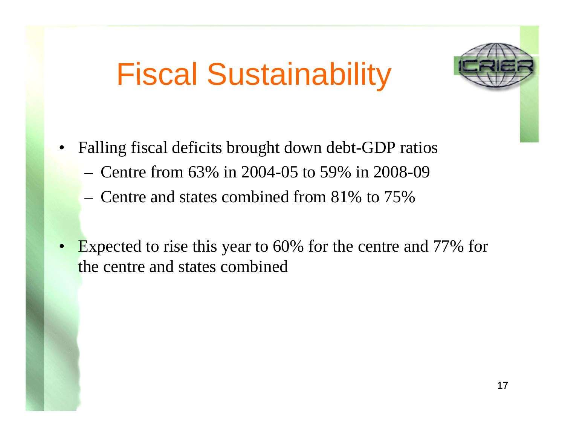## Fiscal Sustainability



- • Falling fiscal deficits brought down debt-GDP ratios
	- Centre from 63% in 2004-05 to 59% in 2008-09
	- $-$  Centre and states combined from 81% to 75%
- • Expected to rise this year to 60% for the centre and 77% for the centre and states combined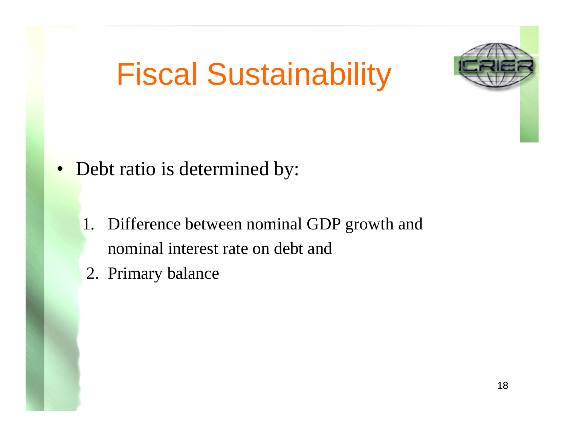# Fiscal Sustainability



- • Debt ratio is determined by:
	- 1. Difference between nominal GDP growth and nominal interest rate on debt and
	- 2. Primary balance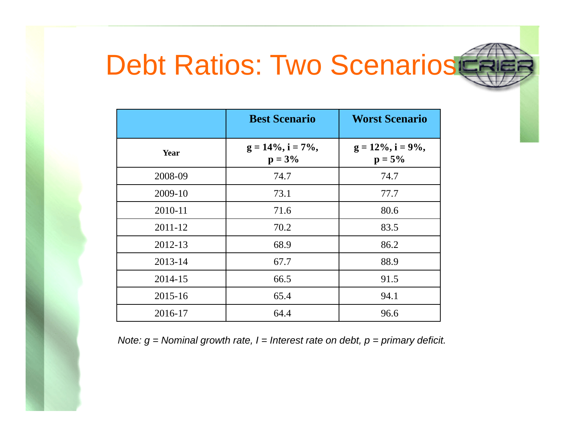#### Debt Ratios: Two Scenarios

|         | <b>Best Scenario</b>              | <b>Worst Scenario</b>             |
|---------|-----------------------------------|-----------------------------------|
| Year    | $g = 14\%, i = 7\%,$<br>$p = 3\%$ | $g = 12\%, i = 9\%,$<br>$p = 5\%$ |
| 2008-09 | 74.7                              | 74.7                              |
| 2009-10 | 73.1                              | 77.7                              |
| 2010-11 | 71.6                              | 80.6                              |
| 2011-12 | 70.2                              | 83.5                              |
| 2012-13 | 68.9                              | 86.2                              |
| 2013-14 | 67.7                              | 88.9                              |
| 2014-15 | 66.5                              | 91.5                              |
| 2015-16 | 65.4                              | 94.1                              |
| 2016-17 | 64.4                              | 96.6                              |

Note:  $g$  = Nominal growth rate,  $l$  = Interest rate on debt,  $p$  = primary deficit.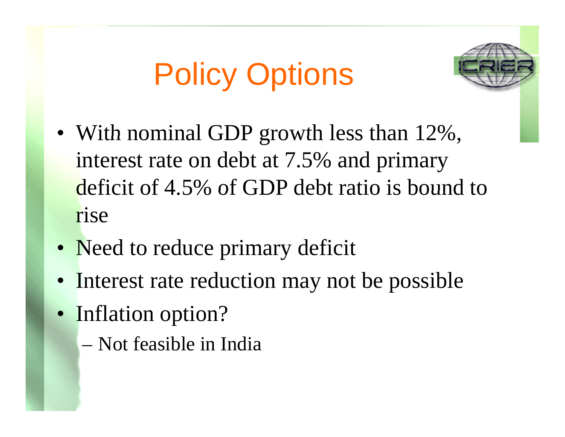# Policy Options



- With nominal GDP growth less than  $12\%$ , interest rate on debt at 7.5% and primary deficit of 4.5% of GDP debt ratio is bound to rise
- Need to reduce primary deficit
- Interest rate reduction may not be possible
- Inflation option?
	- Not feasible in India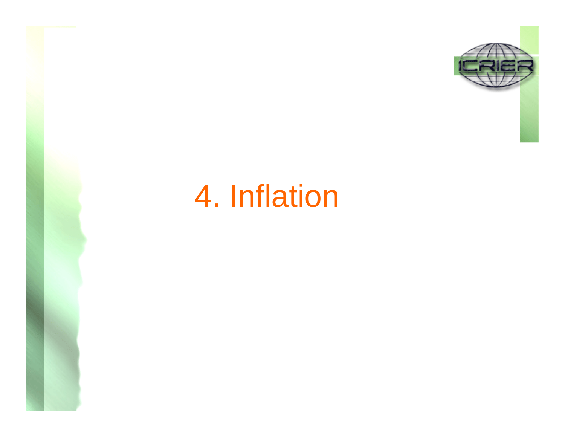

#### 4. Inflation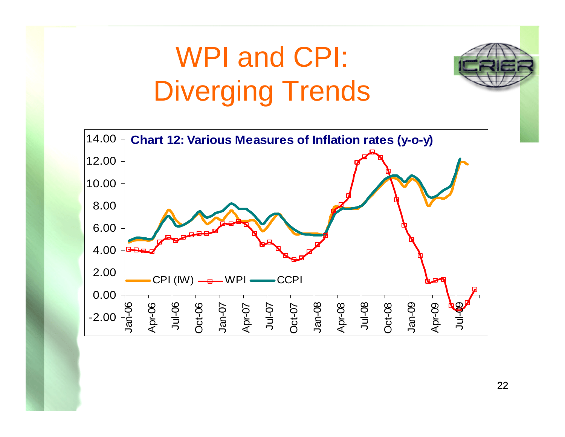#### WPI and CPI: Diverging Trends

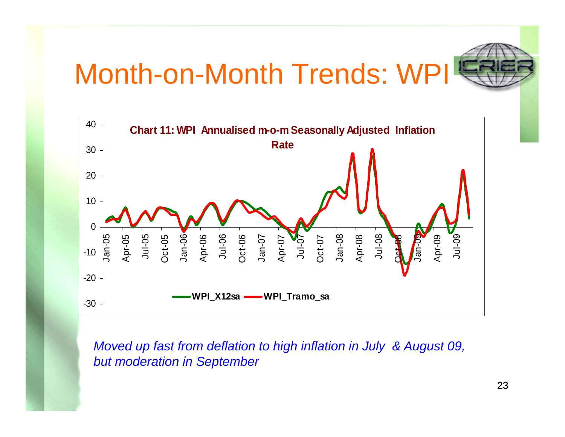#### Month-on-Month Trends: WPI





*Moved up fast from deflation to high inflation in July & August 09, but moderation in September*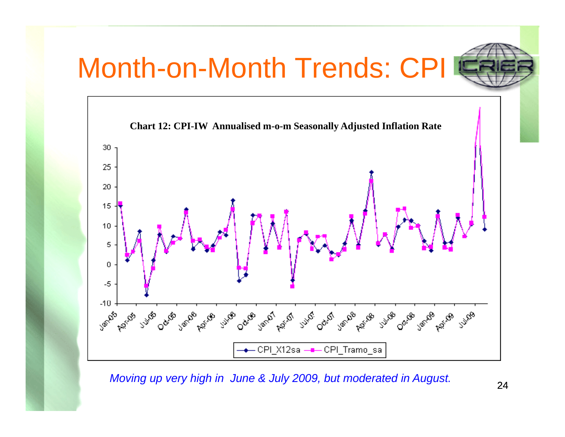#### Month-on-Month Trends: C



*Moving up very high in June & July 2009, but moderated in August.*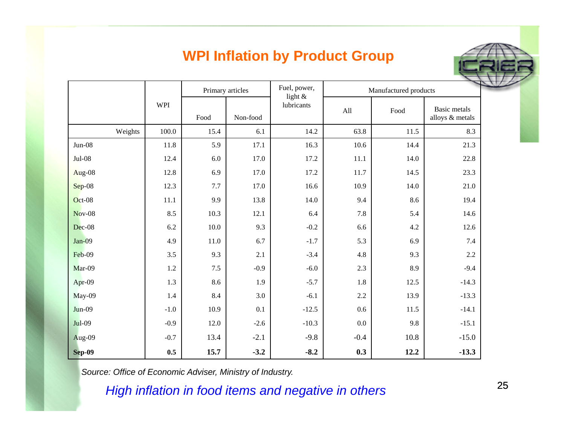#### **WPI Inflation by Product Group**

|               |            | Primary articles |          | Fuel, power,<br>light $\&$ | Manufactured products |      |                                        |
|---------------|------------|------------------|----------|----------------------------|-----------------------|------|----------------------------------------|
|               | <b>WPI</b> | Food             | Non-food | lubricants                 | All                   | Food | <b>Basic</b> metals<br>alloys & metals |
| Weights       | 100.0      | 15.4             | 6.1      | 14.2                       | 63.8                  | 11.5 | 8.3                                    |
| $Jun-08$      | 11.8       | 5.9              | 17.1     | 16.3                       | 10.6                  | 14.4 | 21.3                                   |
| $Jul-08$      | 12.4       | 6.0              | 17.0     | 17.2                       | 11.1                  | 14.0 | 22.8                                   |
| Aug-08        | 12.8       | 6.9              | 17.0     | 17.2                       | 11.7                  | 14.5 | 23.3                                   |
| $Sep-08$      | 12.3       | $7.7\,$          | 17.0     | 16.6                       | 10.9                  | 14.0 | $21.0\,$                               |
| $Oct-08$      | 11.1       | 9.9              | 13.8     | 14.0                       | 9.4                   | 8.6  | 19.4                                   |
| <b>Nov-08</b> | 8.5        | 10.3             | 12.1     | 6.4                        | 7.8                   | 5.4  | 14.6                                   |
| Dec-08        | 6.2        | 10.0             | 9.3      | $-0.2$                     | 6.6                   | 4.2  | 12.6                                   |
| $Jan-09$      | 4.9        | 11.0             | 6.7      | $-1.7$                     | 5.3                   | 6.9  | 7.4                                    |
| Feb-09        | 3.5        | 9.3              | 2.1      | $-3.4$                     | 4.8                   | 9.3  | 2.2                                    |
| Mar-09        | 1.2        | 7.5              | $-0.9$   | $-6.0$                     | 2.3                   | 8.9  | $-9.4$                                 |
| Apr-09        | 1.3        | 8.6              | 1.9      | $-5.7$                     | 1.8                   | 12.5 | $-14.3$                                |
| May-09        | 1.4        | 8.4              | 3.0      | $-6.1$                     | 2.2                   | 13.9 | $-13.3$                                |
| $Jun-09$      | $-1.0$     | 10.9             | 0.1      | $-12.5$                    | 0.6                   | 11.5 | $-14.1$                                |
| Jul-09        | $-0.9$     | 12.0             | $-2.6$   | $-10.3$                    | 0.0                   | 9.8  | $-15.1$                                |
| Aug-09        | $-0.7$     | 13.4             | $-2.1$   | $-9.8$                     | $-0.4$                | 10.8 | $-15.0$                                |
| <b>Sep-09</b> | 0.5        | 15.7             | $-3.2$   | $-8.2$                     | 0.3                   | 12.2 | $-13.3$                                |

*Source: Office of Economic Adviser, Ministry of Industry.*

*High inflation in food items and negative in others*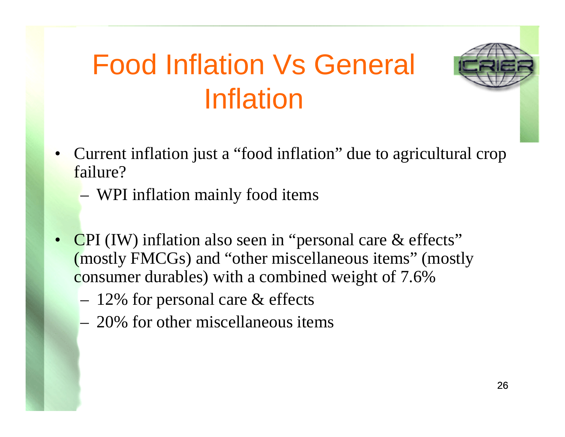#### Food Inflation Vs General Inflation



- $\bullet$  Current inflation just a "food inflation" due to agricultural crop failure?
	- WPI inflation mainly food items
- •CPI (IW) inflation also seen in "personal care  $\&$  effects" (mostly FMCGs) and "other miscellaneous items" (mostly consumer durables) with a combined weight of 7.6%
	- – $-$  12% for personal care  $\&$  effects
	- 20% for other miscellaneous items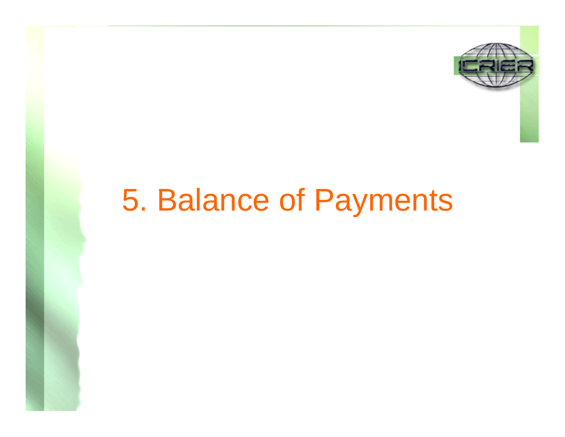

#### 5. Balance of Payment Paymen tS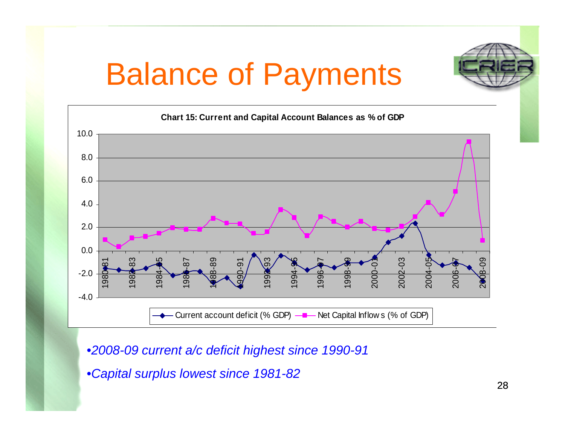## Balance of Payments



•*2008 -09 current a/c deficit highest since 1990 -91 g*

•*Capital surplus lowest since 1981-82*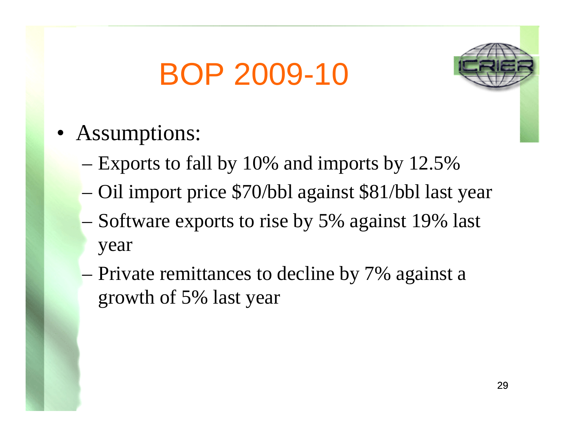# BOP 2009-10



- Assumptions:
	- Exports to fall by 10% and imports by 12.5%
	- Oil import price \$70/bbl against \$81/bbl last year
	- Software exports to rise by 5% against 19% last year
	- Private remittances to decline by 7% against a growth of 5% last year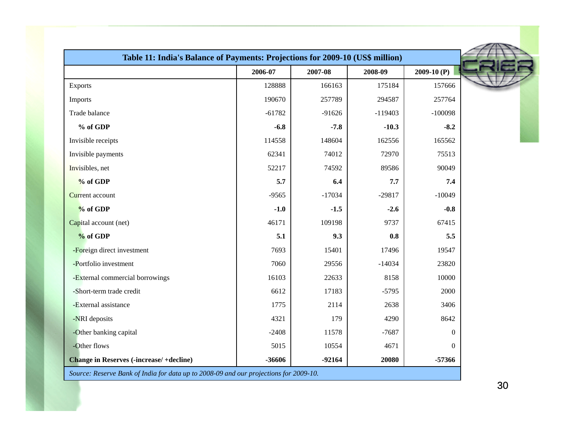| Table 11: India's Balance of Payments: Projections for 2009-10 (US\$ million)         |          |          |           |              |  |
|---------------------------------------------------------------------------------------|----------|----------|-----------|--------------|--|
|                                                                                       | 2006-07  | 2007-08  | 2008-09   | $2009-10(P)$ |  |
| <b>Exports</b>                                                                        | 128888   | 166163   | 175184    | 157666       |  |
| Imports                                                                               | 190670   | 257789   | 294587    | 257764       |  |
| Trade balance                                                                         | $-61782$ | $-91626$ | $-119403$ | $-100098$    |  |
| % of GDP                                                                              | $-6.8$   | $-7.8$   | $-10.3$   | $-8.2$       |  |
| Invisible receipts                                                                    | 114558   | 148604   | 162556    | 165562       |  |
| Invisible payments                                                                    | 62341    | 74012    | 72970     | 75513        |  |
| Invisibles, net                                                                       | 52217    | 74592    | 89586     | 90049        |  |
| % of GDP                                                                              | 5.7      | 6.4      | 7.7       | 7.4          |  |
| <b>Current</b> account                                                                | $-9565$  | $-17034$ | $-29817$  | $-10049$     |  |
| % of GDP                                                                              | $-1.0$   | $-1.5$   | $-2.6$    | $-0.8$       |  |
| Capital account (net)                                                                 | 46171    | 109198   | 9737      | 67415        |  |
| % of GDP                                                                              | 5.1      | 9.3      | 0.8       | 5.5          |  |
| -Foreign direct investment                                                            | 7693     | 15401    | 17496     | 19547        |  |
| -Portfolio investment                                                                 | 7060     | 29556    | $-14034$  | 23820        |  |
| -External commercial borrowings                                                       | 16103    | 22633    | 8158      | 10000        |  |
| -Short-term trade credit                                                              | 6612     | 17183    | $-5795$   | 2000         |  |
| -External assistance                                                                  | 1775     | 2114     | 2638      | 3406         |  |
| -NRI deposits                                                                         | 4321     | 179      | 4290      | 8642         |  |
| -Other banking capital                                                                | $-2408$  | 11578    | $-7687$   | $\Omega$     |  |
| -Other flows                                                                          | 5015     | 10554    | 4671      | $\Omega$     |  |
| <b>Change in Reserves (-increase/+decline)</b>                                        | -36606   | $-92164$ | 20080     | $-57366$     |  |
| Source: Reserve Bank of India for data up to 2008-09 and our projections for 2009-10. |          |          |           |              |  |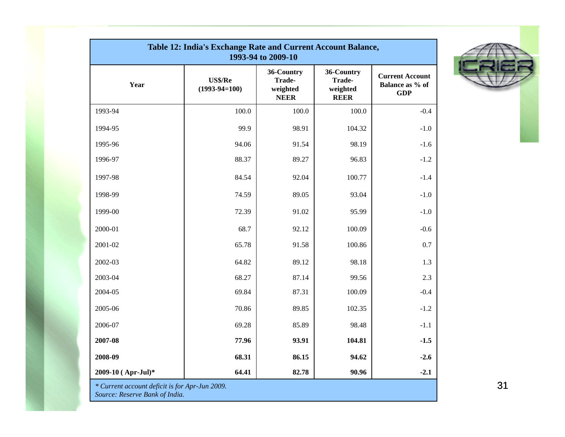| Table 12: India's Exchange Rate and Current Account Balance,<br>1993-94 to 2009-10 |                            |                                                 |                                                 |                                                         |  |  |  |
|------------------------------------------------------------------------------------|----------------------------|-------------------------------------------------|-------------------------------------------------|---------------------------------------------------------|--|--|--|
| Year                                                                               | US\$/Re<br>$(1993-94=100)$ | 36-Country<br>Trade-<br>weighted<br><b>NEER</b> | 36-Country<br>Trade-<br>weighted<br><b>REER</b> | <b>Current Account</b><br>Balance as % of<br><b>GDP</b> |  |  |  |
| 1993-94                                                                            | 100.0                      | 100.0                                           | 100.0                                           | $-0.4$                                                  |  |  |  |
| 1994-95                                                                            | 99.9                       | 98.91                                           | 104.32                                          | $-1.0$                                                  |  |  |  |
| 1995-96                                                                            | 94.06                      | 91.54                                           | 98.19                                           | $-1.6$                                                  |  |  |  |
| 1996-97                                                                            | 88.37                      | 89.27                                           | 96.83                                           | $-1.2$                                                  |  |  |  |
| 1997-98                                                                            | 84.54                      | 92.04                                           | 100.77                                          | $-1.4$                                                  |  |  |  |
| 1998-99                                                                            | 74.59                      | 89.05                                           | 93.04                                           | $-1.0$                                                  |  |  |  |
| 1999-00                                                                            | 72.39                      | 91.02                                           | 95.99                                           | $-1.0$                                                  |  |  |  |
| 2000-01                                                                            | 68.7                       | 92.12                                           | 100.09                                          | $-0.6$                                                  |  |  |  |
| 2001-02                                                                            | 65.78                      | 91.58                                           | 100.86                                          | 0.7                                                     |  |  |  |
| 2002-03                                                                            | 64.82                      | 89.12                                           | 98.18                                           | 1.3                                                     |  |  |  |
| 2003-04                                                                            | 68.27                      | 87.14                                           | 99.56                                           | 2.3                                                     |  |  |  |
| 2004-05                                                                            | 69.84                      | 87.31                                           | 100.09                                          | $-0.4$                                                  |  |  |  |
| 2005-06                                                                            | 70.86                      | 89.85                                           | 102.35                                          | $-1.2$                                                  |  |  |  |
| 2006-07                                                                            | 69.28                      | 85.89                                           | 98.48                                           | $-1.1$                                                  |  |  |  |
| 2007-08                                                                            | 77.96                      | 93.91                                           | 104.81                                          | $-1.5$                                                  |  |  |  |
| 2008-09                                                                            | 68.31                      | 86.15                                           | 94.62                                           | $-2.6$                                                  |  |  |  |
| 2009-10 (Apr-Jul)*                                                                 | 64.41                      | 82.78                                           | 90.96                                           | $-2.1$                                                  |  |  |  |
| * Current account deficit is for Apr-Jun 2009.<br>Source: Reserve Bank of India.   |                            |                                                 |                                                 |                                                         |  |  |  |



31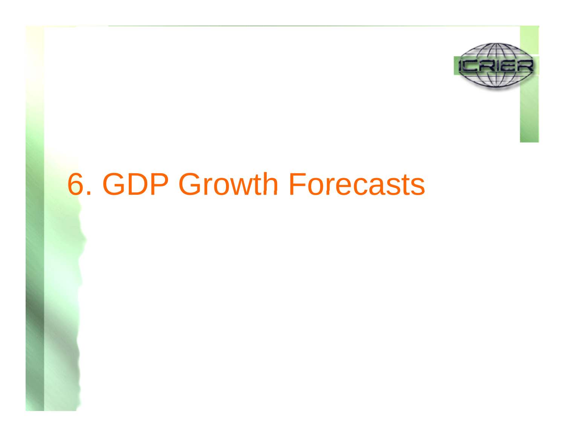

#### **6. GDP Growth Forecasts**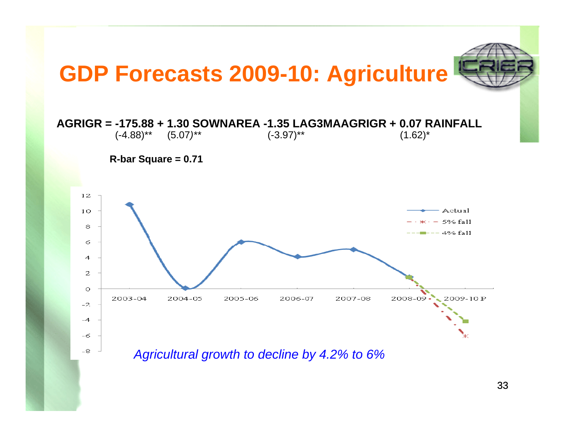

33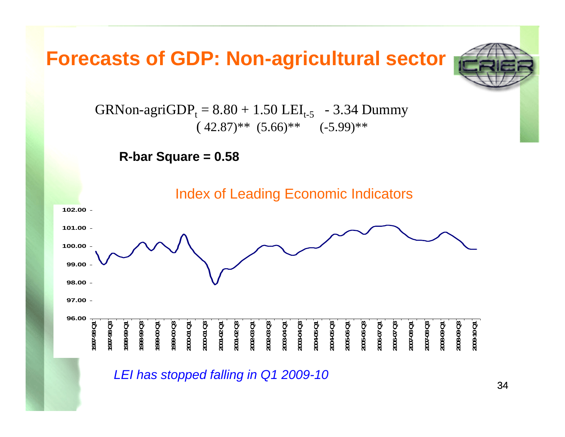#### **Forecasts of GDP: Non-agricultural sector**



 $\text{GRNon-agriGDP}_\text{t} = 8.80 + 1.50 \text{ LEI}_\text{t-5}$  - 3.34 Dummy  $(42.87)$ <sup>\*\*</sup>  $(5.66)$ <sup>\*\*</sup>  $(-5.99)$ <sup>\*\*</sup>

**R-bar Square = 0.58**



*LEI has stopped falling in Q1 2009-10*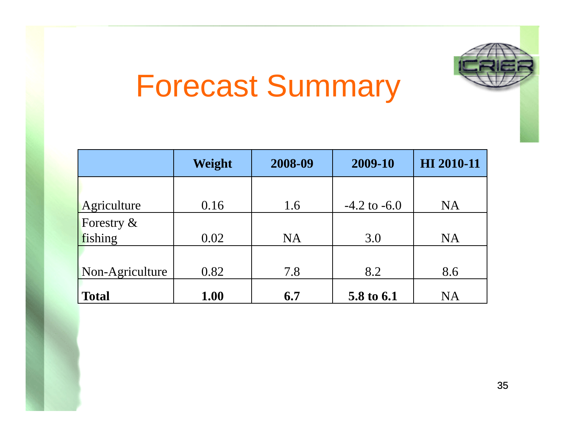# Forecast Summary

|                 | Weight | 2008-09   | 2009-10          | HI 2010-11 |
|-----------------|--------|-----------|------------------|------------|
|                 |        |           |                  |            |
| Agriculture     | 0.16   | 1.6       | $-4.2$ to $-6.0$ | <b>NA</b>  |
| Forestry $\&$   |        |           |                  |            |
| fishing         | 0.02   | <b>NA</b> | 3.0              | <b>NA</b>  |
|                 |        |           |                  |            |
| Non-Agriculture | 0.82   | 7.8       | 8.2              | 8.6        |
| <b>Total</b>    | 1.00   | 6.7       | 5.8 to 6.1       | <b>NA</b>  |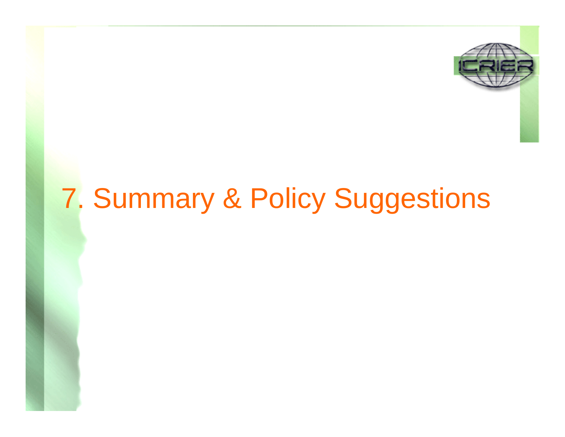

#### 7. Summary & Policy Suggestions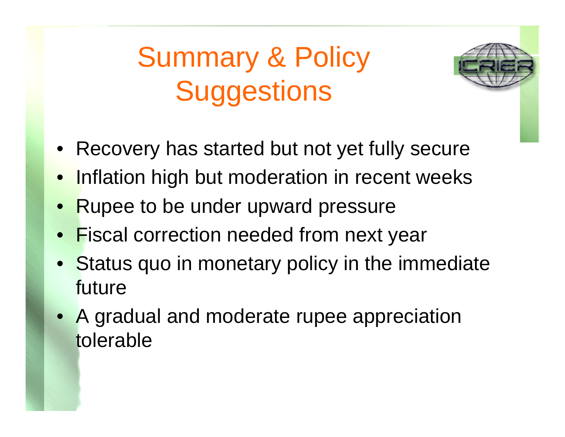#### Summary & Policy **Suggestions**



- Recovery has started but not yet fully secure
- $\bullet$ Inflation high but moderation in recent weeks
- •Rupee to be under upward pressure
- •**Fiscal correction needed from next year**
- Status quo in monetary policy in the immediate future
- A gradual and moderate rupee appreciation tolerable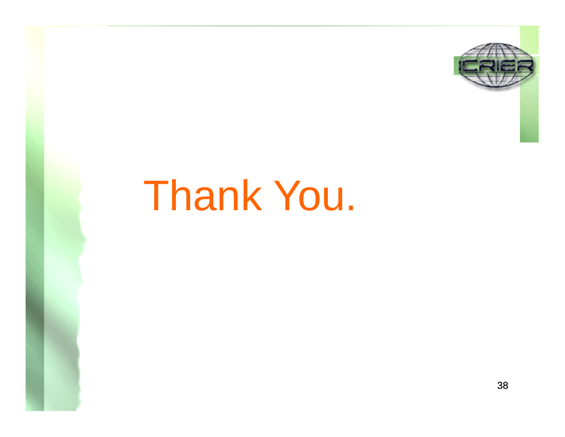

# Thank You.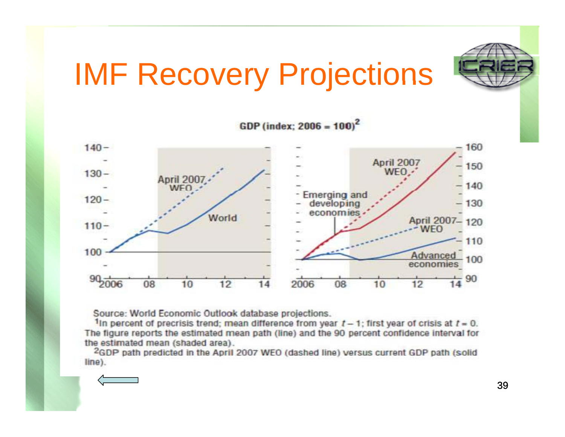

## IMF Recovery Projections

GDP (index;  $2006 = 100$ )<sup>2</sup>



Source: World Economic Outlook database projections.

1In percent of precrisis trend; mean difference from year  $t-1$ ; first year of crisis at  $t=0$ . The figure reports the estimated mean path (line) and the 90 percent confidence interval for the estimated mean (shaded area).

<sup>2</sup>GDP path predicted in the April 2007 WEO (dashed line) versus current GDP path (solid line).